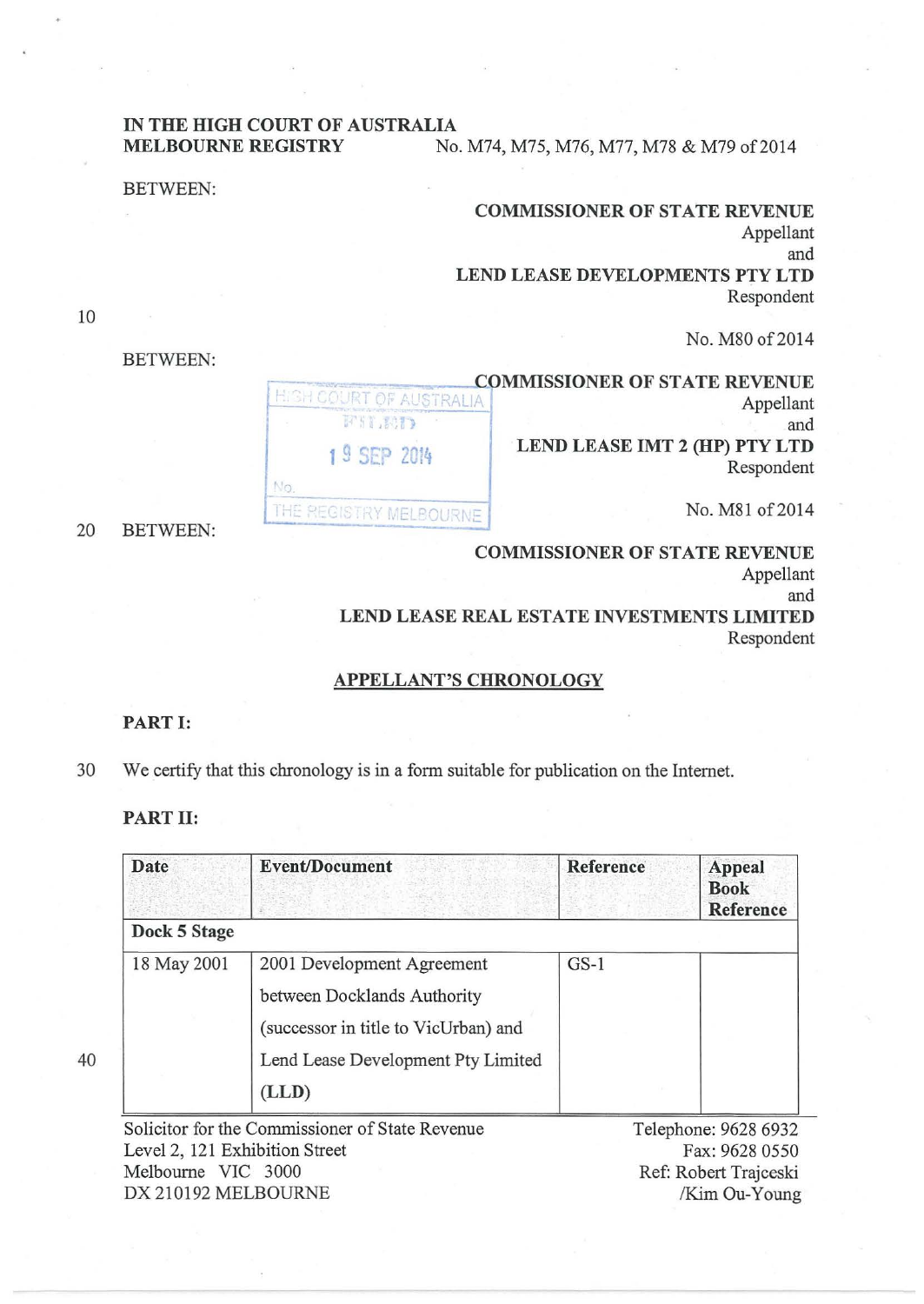# IN THE HIGH COURT OF AUSTRALIA

No.

**MELBOURNE REGISTRY** No. M74, M75, M76, M77, M78 & M79 of 2014

#### BETWEEN:

BETWEEN:

| <b>COMMISSIONER OF STATE REVENUE</b> |
|--------------------------------------|
| Appellant                            |
| and                                  |
| LEND LEASE DEVELOPMENTS PTY LTD      |
| Respondent                           |
|                                      |

No. M80 of 2014

**COMMISSIONER OF STATE REVENUE HIGH COURT OF AUSTRALIA** Appellant FIT ROLL and LEND LEASE IMT 2 (HP) PTY LTD 1 9 SEP 20t4 Respondent THE REGISTRY MELBOURNE **No. M81 of 2014** No. M81 of 2014

10

COMMISSIONER OF STATE REVENUE Appellant and LEND LEASE REAL ESTATE INVESTMENTS LIMITED

Respondent

## APPELLANT'S CHRONOLOGY

#### PART I:

30 We certify that this chronology is in a form suitable for publication on the Internet.

## PART II:

40

| <b>Date</b>  | <b>Event/Document</b>                | Reference | <b>Appeal</b><br><b>Book</b><br>Reference |
|--------------|--------------------------------------|-----------|-------------------------------------------|
| Dock 5 Stage |                                      |           |                                           |
| 18 May 2001  | 2001 Development Agreement           | $GS-1$    |                                           |
|              | between Docklands Authority          |           |                                           |
|              | (successor in title to VicUrban) and |           |                                           |
|              | Lend Lease Development Pty Limited   |           |                                           |
|              | (LLD)                                |           |                                           |

Solicitor for the Commissioner of State Revenue Level 2, 121 Exhibition Street Melbourne VIC 3000 DX 210192 MELBOURNE

Telephone: 9628 6932 Fax: 9628 0550 Ref: Robert Trajceski /Kim Ou-Young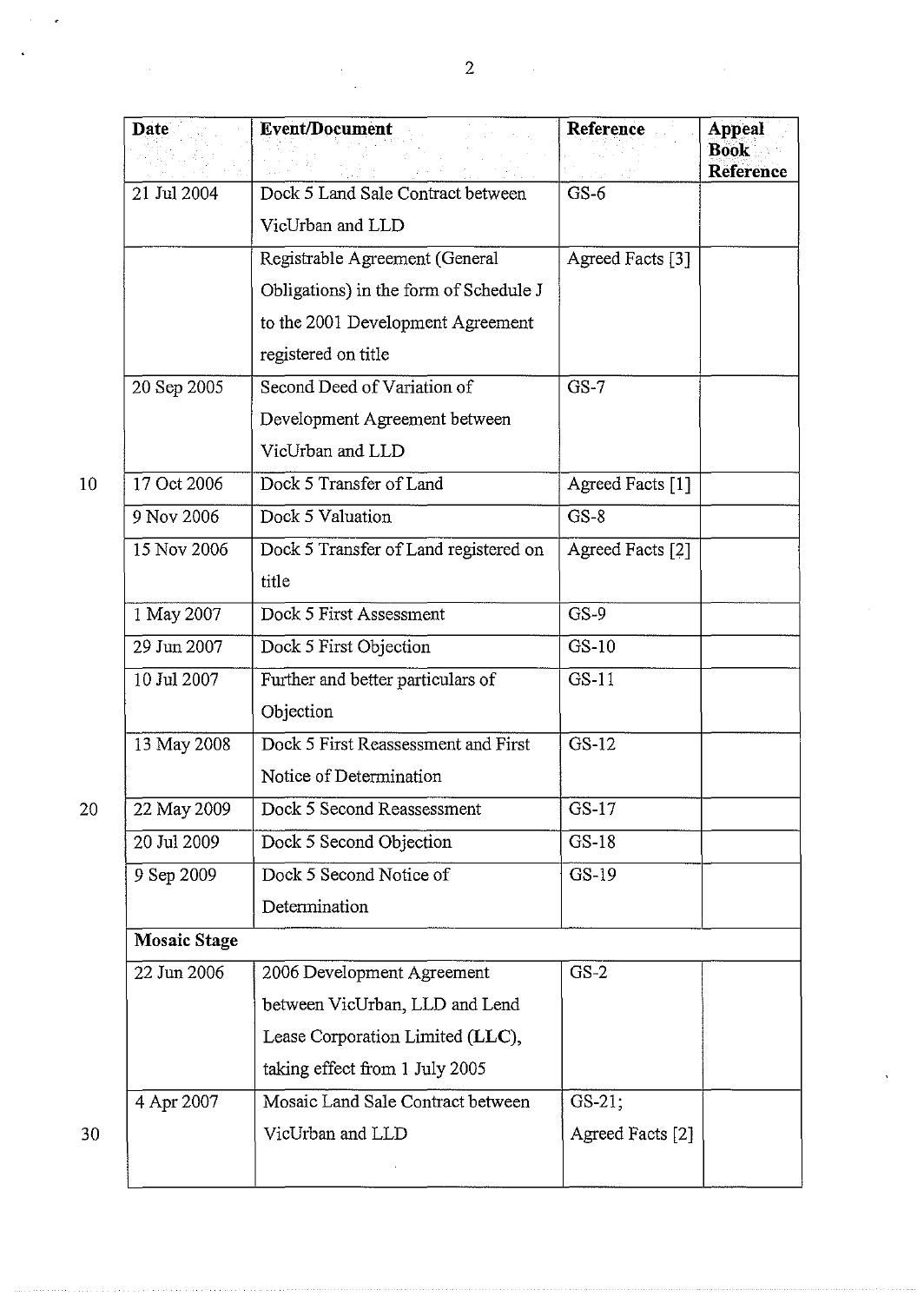| <b>Date</b>              | <b>Event/Document</b>                  | Reference        | <b>Appeal</b><br><b>Book</b> |
|--------------------------|----------------------------------------|------------------|------------------------------|
| $\overline{2}1$ Jul 2004 | Dock 5 Land Sale Contract between      | $GS-6$           | <b>Reference</b>             |
|                          | VicUrban and LLD                       |                  |                              |
|                          | Registrable Agreement (General         | Agreed Facts [3] |                              |
|                          | Obligations) in the form of Schedule J |                  |                              |
|                          | to the 2001 Development Agreement      |                  |                              |
|                          | registered on title                    |                  |                              |
| 20 Sep 2005              | Second Deed of Variation of            | $GS-7$           |                              |
|                          | Development Agreement between          |                  |                              |
|                          | VicUrban and LLD                       |                  |                              |
| 17 Oct 2006              | Dock 5 Transfer of Land                | Agreed Facts [1] |                              |
| 9 Nov 2006               | Dock 5 Valuation                       | $GS-8$           |                              |
| 15 Nov 2006              | Dock 5 Transfer of Land registered on  | Agreed Facts [2] |                              |
|                          | title                                  |                  |                              |
| 1 May 2007               | Dock 5 First Assessment                | $GS-9$           |                              |
| 29 Jun 2007              | Dock 5 First Objection                 | $GS-10$          |                              |
| 10 Jul 2007              | Further and better particulars of      | $GS-11$          |                              |
|                          | Objection                              |                  |                              |
| 13 May 2008              | Dock 5 First Reassessment and First    | $GS-12$          |                              |
|                          | Notice of Determination                |                  |                              |
| 22 May 2009              | Dock 5 Second Reassessment             | GS-17            |                              |
| 20 Jul 2009              | Dock 5 Second Objection                | $GS-18$          |                              |
| 9 Sep 2009               | Dock 5 Second Notice of                | $GS-19$          |                              |
|                          | Determination                          |                  |                              |
| <b>Mosaic Stage</b>      |                                        |                  |                              |
| 22 Jun 2006              | 2006 Development Agreement             | $GS-2$           |                              |
|                          | between VicUrban, LLD and Lend         |                  |                              |
|                          | Lease Corporation Limited (LLC),       |                  |                              |
|                          | taking effect from 1 July 2005         |                  |                              |
| 4 Apr 2007               | Mosaic Land Sale Contract between      | GS-21;           |                              |
|                          | VicUrban and LLD                       | Agreed Facts [2] |                              |
|                          |                                        |                  |                              |

 $\bar{a}$ 

l,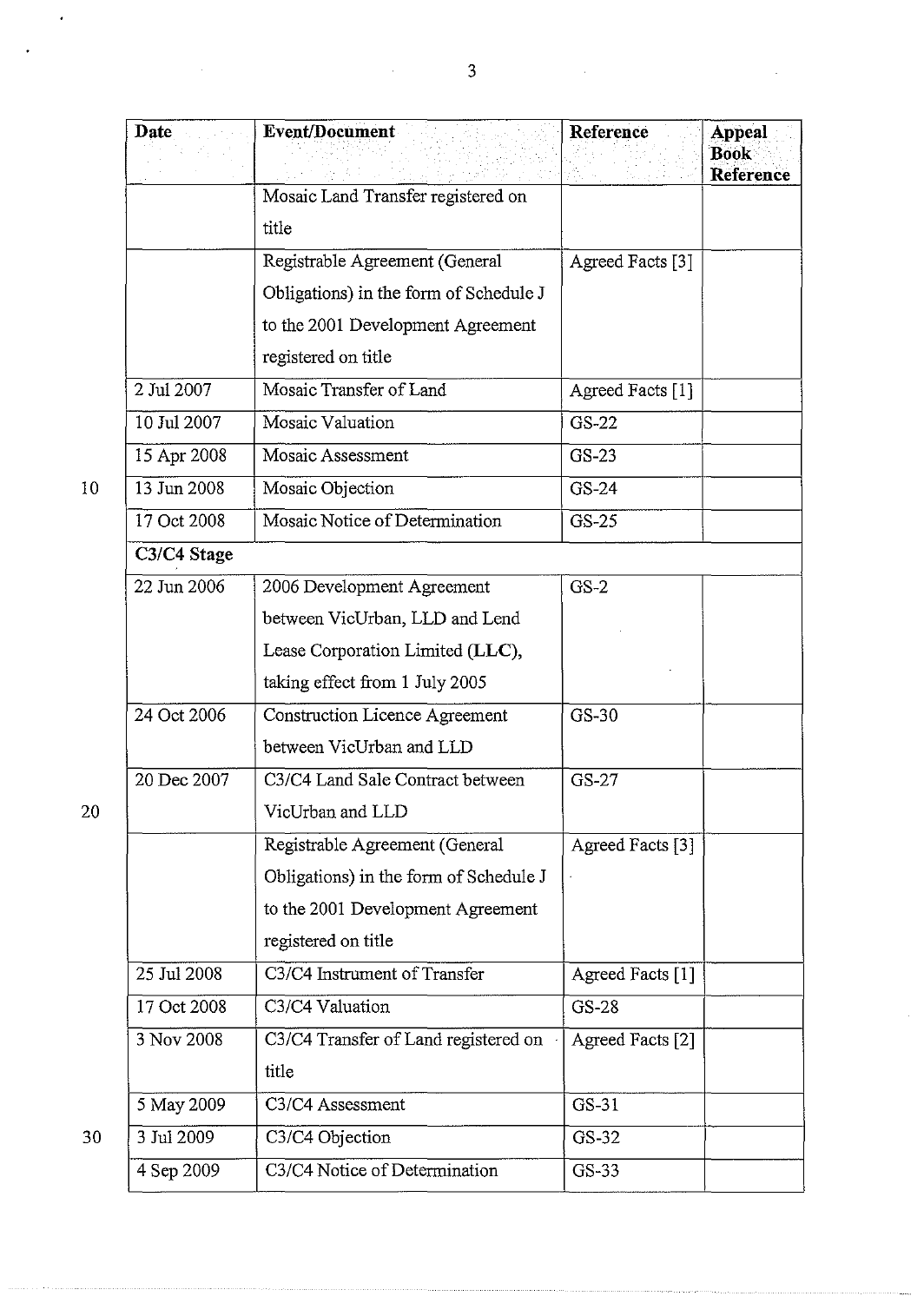|                 | Date        | Event/Document                         | Reference        | <b>Appeal</b><br><b>Book</b><br><b>Reference</b> |
|-----------------|-------------|----------------------------------------|------------------|--------------------------------------------------|
|                 |             | Mosaic Land Transfer registered on     |                  |                                                  |
|                 |             | title                                  |                  |                                                  |
|                 |             | Registrable Agreement (General         | Agreed Facts [3] |                                                  |
|                 |             | Obligations) in the form of Schedule J |                  |                                                  |
|                 |             | to the 2001 Development Agreement      |                  |                                                  |
|                 |             | registered on title                    |                  |                                                  |
|                 | 2 Jul 2007  | Mosaic Transfer of Land                | Agreed Facts [1] |                                                  |
|                 | 10 Jul 2007 | Mosaic Valuation                       | $GS-22$          |                                                  |
|                 | 15 Apr 2008 | Mosaic Assessment                      | GS-23            |                                                  |
| 10 <sup>°</sup> | 13 Jun 2008 | Mosaic Objection                       | GS-24            |                                                  |
|                 | 17 Oct 2008 | Mosaic Notice of Determination         | $GS-25$          |                                                  |
|                 | C3/C4 Stage |                                        |                  |                                                  |
|                 | 22 Jun 2006 | 2006 Development Agreement             | $GS-2$           |                                                  |
|                 |             | between VicUrban, LLD and Lend         |                  |                                                  |
|                 |             | Lease Corporation Limited (LLC),       |                  |                                                  |
|                 |             | taking effect from 1 July 2005         |                  |                                                  |
|                 | 24 Oct 2006 | <b>Construction Licence Agreement</b>  | GS-30            |                                                  |
|                 |             | between VicUrban and LLD               |                  |                                                  |
|                 | 20 Dec 2007 | C3/C4 Land Sale Contract between       | GS-27            |                                                  |
| 20              |             | VicUrban and LLD                       |                  |                                                  |
|                 |             | Registrable Agreement (General         | Agreed Facts [3] |                                                  |
|                 |             | Obligations) in the form of Schedule J |                  |                                                  |
|                 |             | to the 2001 Development Agreement      |                  |                                                  |
|                 |             | registered on title                    |                  |                                                  |
|                 | 25 Jul 2008 | C3/C4 Instrument of Transfer           | Agreed Facts [1] |                                                  |
|                 | 17 Oct 2008 | C3/C4 Valuation                        | GS-28            |                                                  |
|                 | 3 Nov 2008  | C3/C4 Transfer of Land registered on   | Agreed Facts [2] |                                                  |
|                 |             | title                                  |                  |                                                  |
|                 | 5 May 2009  | C3/C4 Assessment                       | GS-31            |                                                  |
| 30              | 3 Jul 2009  | C3/C4 Objection                        | GS-32            |                                                  |
|                 | 4 Sep 2009  | C3/C4 Notice of Determination          | GS-33            |                                                  |

 $\ddot{\phantom{0}}$ 

 $\hat{\mathcal{A}}$ 

l.

 $\hat{\mathcal{A}}$ 

 $\hat{\mathbf{v}}$ 

 $\bar{\psi}$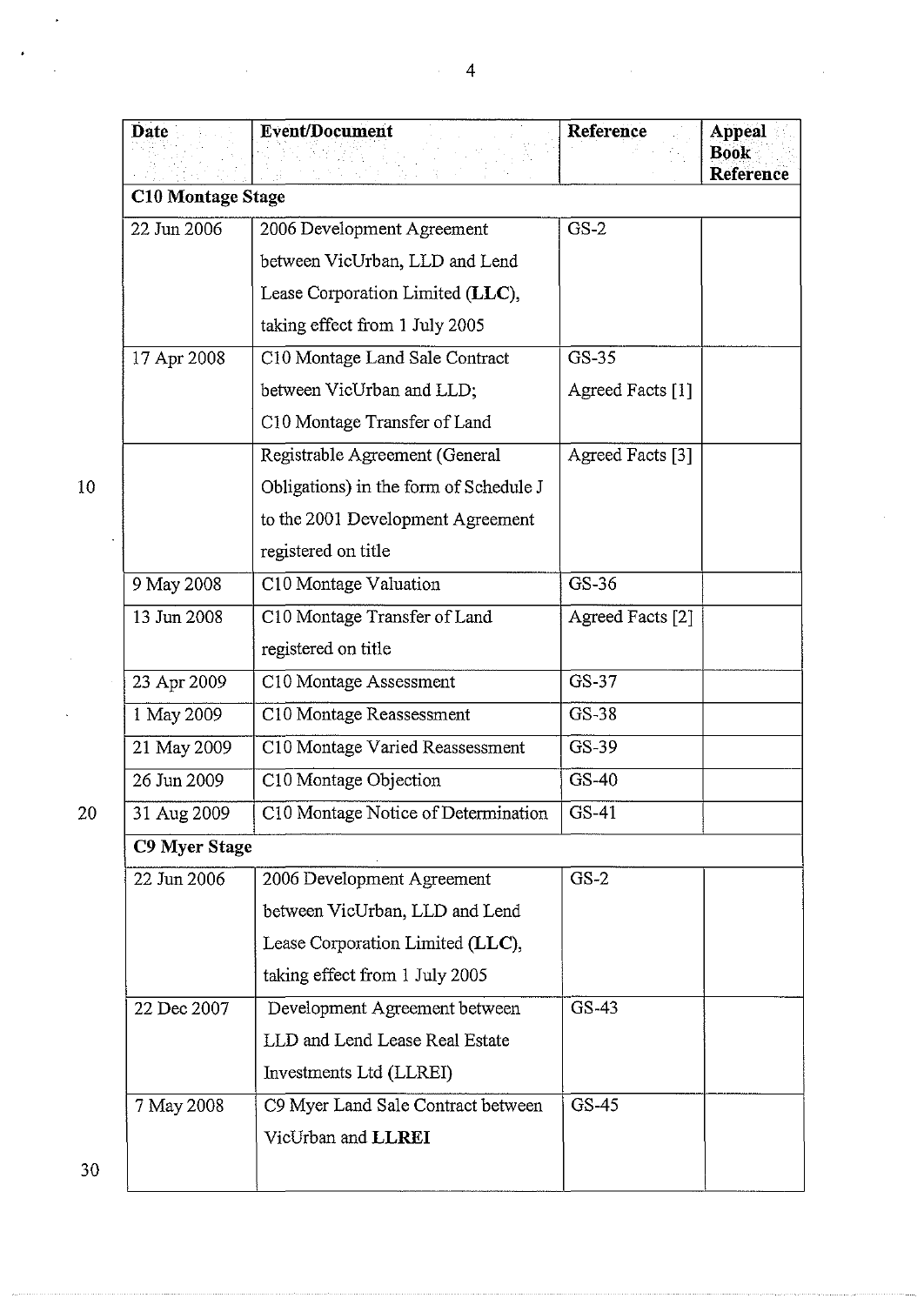|    | <b>Date</b>   | <b>Event/Document</b>                  | Reference        | <b>Appeal</b><br><b>Book</b><br><b>Reference</b> |  |
|----|---------------|----------------------------------------|------------------|--------------------------------------------------|--|
|    |               | <b>C10 Montage Stage</b>               |                  |                                                  |  |
|    | 22 Jun 2006   | 2006 Development Agreement             | $GS-2$           |                                                  |  |
|    |               | between VicUrban, LLD and Lend         |                  |                                                  |  |
|    |               | Lease Corporation Limited (LLC),       |                  |                                                  |  |
|    |               | taking effect from 1 July 2005         |                  |                                                  |  |
|    | 17 Apr 2008   | C10 Montage Land Sale Contract         | GS-35            |                                                  |  |
|    |               | between VicUrban and LLD;              | Agreed Facts [1] |                                                  |  |
|    |               | C10 Montage Transfer of Land           |                  |                                                  |  |
|    |               | Registrable Agreement (General         | Agreed Facts [3] |                                                  |  |
| 10 |               | Obligations) in the form of Schedule J |                  |                                                  |  |
|    |               | to the 2001 Development Agreement      |                  |                                                  |  |
|    |               | registered on title                    |                  |                                                  |  |
|    | 9 May 2008    | C10 Montage Valuation                  | GS-36            |                                                  |  |
|    | 13 Jun 2008   | C10 Montage Transfer of Land           | Agreed Facts [2] |                                                  |  |
|    |               | registered on title                    |                  |                                                  |  |
|    | 23 Apr 2009   | C10 Montage Assessment                 | GS-37            |                                                  |  |
|    | 1 May 2009    | C10 Montage Reassessment               | GS-38            |                                                  |  |
|    | 21 May 2009   | C10 Montage Varied Reassessment        | GS-39            |                                                  |  |
|    | 26 Jun 2009   | C10 Montage Objection                  | GS-40            |                                                  |  |
| 20 | 31 Aug 2009   | C10 Montage Notice of Determination    | GS-41            |                                                  |  |
|    | C9 Myer Stage |                                        |                  |                                                  |  |
|    | 22 Jun 2006   | 2006 Development Agreement             | $GS-2$           |                                                  |  |
|    |               | between VicUrban, LLD and Lend         |                  |                                                  |  |
|    |               | Lease Corporation Limited (LLC),       |                  |                                                  |  |
|    |               | taking effect from 1 July 2005         |                  |                                                  |  |
|    | 22 Dec 2007   | Development Agreement between          | GS-43            |                                                  |  |
|    |               | LLD and Lend Lease Real Estate         |                  |                                                  |  |
|    |               | Investments Ltd (LLREI)                |                  |                                                  |  |
|    | 7 May 2008    | C9 Myer Land Sale Contract between     | GS-45            |                                                  |  |
|    |               | VicUrban and LLREI                     |                  |                                                  |  |
| 30 |               |                                        |                  |                                                  |  |

 $\overline{a}$ 

 $\cdot$ 

 $\ddot{\phantom{a}}$ 

30

J.

 $\ddot{\phantom{a}}$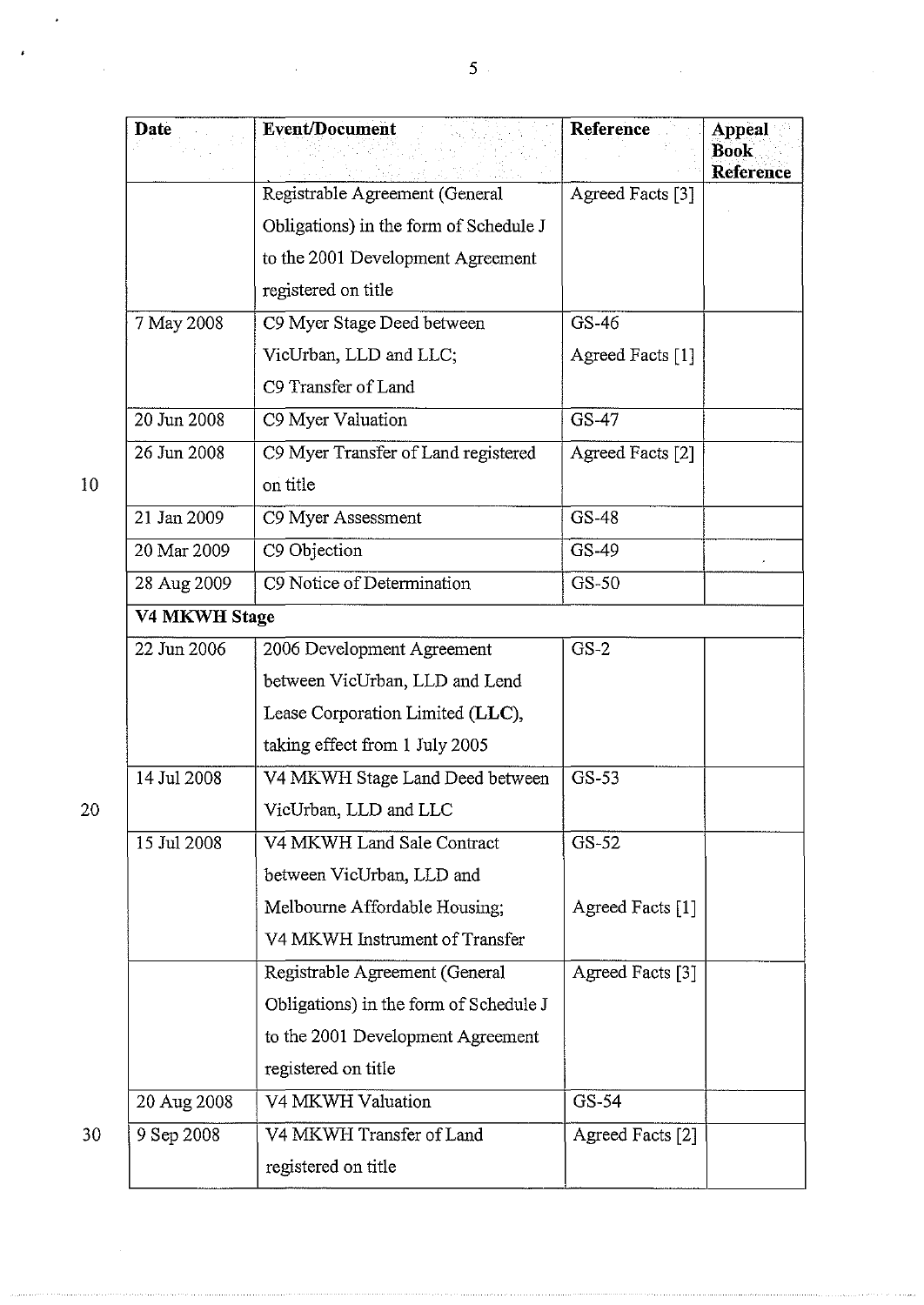| Date             | <b>Event/Document</b>                  | Reference        | Appeal<br><b>Book</b><br><b>Reference</b> |  |  |
|------------------|----------------------------------------|------------------|-------------------------------------------|--|--|
|                  | Registrable Agreement (General         | Agreed Facts [3] |                                           |  |  |
|                  | Obligations) in the form of Schedule J |                  |                                           |  |  |
|                  | to the 2001 Development Agreement      |                  |                                           |  |  |
|                  | registered on title                    |                  |                                           |  |  |
| 7 May 2008       | C9 Myer Stage Deed between             | GS-46            |                                           |  |  |
|                  | VicUrban, LLD and LLC;                 | Agreed Facts [1] |                                           |  |  |
|                  | C9 Transfer of Land                    |                  |                                           |  |  |
| 20 Jun 2008      | C9 Myer Valuation                      | GS-47            |                                           |  |  |
| 26 Jun 2008      | C9 Myer Transfer of Land registered    | Agreed Facts [2] |                                           |  |  |
| 10 <sup>1</sup>  | on title                               |                  |                                           |  |  |
| 21 Jan 2009      | C9 Myer Assessment                     | GS-48            |                                           |  |  |
| 20 Mar 2009      | C9 Objection                           | GS-49            |                                           |  |  |
| 28 Aug 2009      | C9 Notice of Determination             | $GS-50$          |                                           |  |  |
|                  | V4 MKWH Stage                          |                  |                                           |  |  |
| 22 Jun 2006      | 2006 Development Agreement             | $GS-2$           |                                           |  |  |
|                  | between VicUrban, LLD and Lend         |                  |                                           |  |  |
|                  | Lease Corporation Limited (LLC),       |                  |                                           |  |  |
|                  | taking effect from 1 July 2005         |                  |                                           |  |  |
| 14 Jul 2008      | V4 MKWH Stage Land Deed between        | GS-53            |                                           |  |  |
| 20               | VicUrban, LLD and LLC                  |                  |                                           |  |  |
| 15 Jul 2008      | V4 MKWH Land Sale Contract             | $GS-52$          |                                           |  |  |
|                  | between VicUrban, LLD and              |                  |                                           |  |  |
|                  | Melbourne Affordable Housing;          | Agreed Facts [1] |                                           |  |  |
|                  | V4 MKWH Instrument of Transfer         |                  |                                           |  |  |
|                  | Registrable Agreement (General         | Agreed Facts [3] |                                           |  |  |
|                  | Obligations) in the form of Schedule J |                  |                                           |  |  |
|                  | to the 2001 Development Agreement      |                  |                                           |  |  |
|                  | registered on title                    |                  |                                           |  |  |
| 20 Aug 2008      | V4 MKWH Valuation                      | GS-54            |                                           |  |  |
| 30<br>9 Sep 2008 | V4 MKWH Transfer of Land               | Agreed Facts [2] |                                           |  |  |
|                  | registered on title                    |                  |                                           |  |  |

 $\hat{\boldsymbol{\cdot}$ 

l,

 $\ddot{\phantom{1}}$ 

J.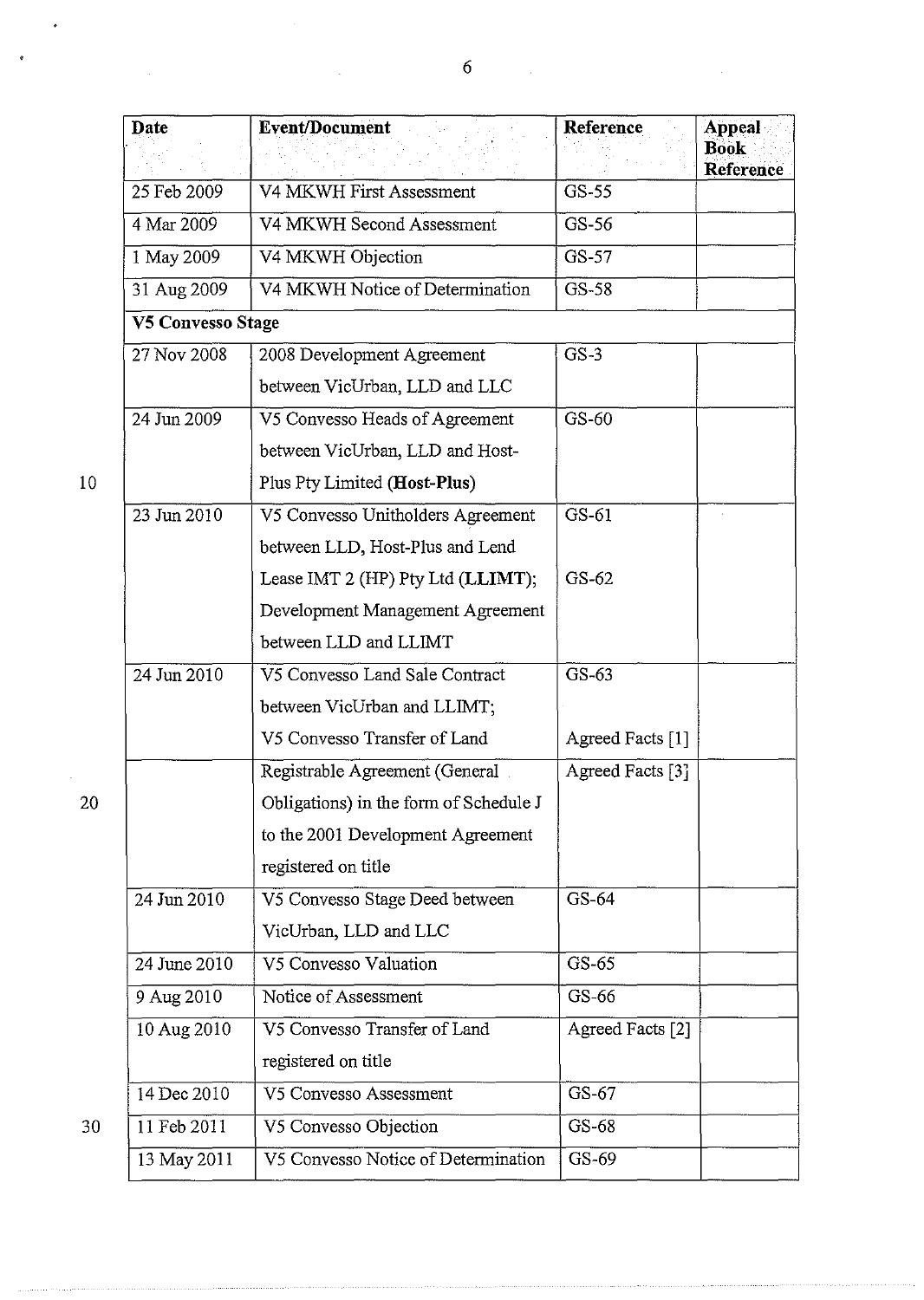| Date              | <b>Event/Document</b>                  | Reference        | <b>Appeal</b><br><b>Book</b> |
|-------------------|----------------------------------------|------------------|------------------------------|
| 25 Feb 2009       | V4 MKWH First Assessment               | GS-55            | Reference                    |
| 4 Mar 2009        | V4 MKWH Second Assessment              | GS-56            |                              |
| 1 May 2009        | V4 MKWH Objection                      | GS-57            |                              |
|                   |                                        | GS-58            |                              |
| 31 Aug 2009       | V4 MKWH Notice of Determination        |                  |                              |
| V5 Convesso Stage |                                        |                  |                              |
| 27 Nov 2008       | 2008 Development Agreement             | $GS-3$           |                              |
|                   | between VicUrban, LLD and LLC          |                  |                              |
| 24 Jun 2009       | V5 Convesso Heads of Agreement         | $CS-60$          |                              |
|                   | between VicUrban, LLD and Host-        |                  |                              |
| 10                | Plus Pty Limited (Host-Plus)           |                  |                              |
| 23 Jun 2010       | V5 Convesso Unitholders Agreement      | GS-61            |                              |
|                   | between LLD, Host-Plus and Lend        |                  |                              |
|                   | Lease IMT 2 (HP) Pty Ltd (LLIMT);      | $GS-62$          |                              |
|                   | Development Management Agreement       |                  |                              |
|                   | between LLD and LLIMT                  |                  |                              |
| 24 Jun 2010       | V5 Convesso Land Sale Contract         | $GS-63$          |                              |
|                   | between VicUrban and LLIMT;            |                  |                              |
|                   | V5 Convesso Transfer of Land           | Agreed Facts [1] |                              |
|                   | Registrable Agreement (General         | Agreed Facts [3] |                              |
| 20                | Obligations) in the form of Schedule J |                  |                              |
|                   | to the 2001 Development Agreement      |                  |                              |
|                   | registered on title                    |                  |                              |
| 24 Jun 2010       | V5 Convesso Stage Deed between         | GS-64            |                              |
|                   | VicUrban, LLD and LLC                  |                  |                              |
| 24 June 2010      | V5 Convesso Valuation                  | GS-65            |                              |
| 9 Aug 2010        | Notice of Assessment                   | GS-66            |                              |
| 10 Aug 2010       | V5 Convesso Transfer of Land           | Agreed Facts [2] |                              |
|                   | registered on title                    |                  |                              |
| 14 Dec 2010       | V5 Convesso Assessment                 | GS-67            |                              |
| 11 Feb 2011<br>30 | V5 Convesso Objection                  | GS-68            |                              |
| 13 May 2011       | V5 Convesso Notice of Determination    | GS-69            |                              |

 $\ddot{\phantom{1}}$ 

 $\bar{z}$ 

 $\bullet$ 

 $\mathcal{A}^{\mathcal{A}}$ 

 $\hat{\mathcal{A}}$ 

 $\overline{\phantom{a}}$ 

 $\mathcal{L}_{\mathcal{A}}$